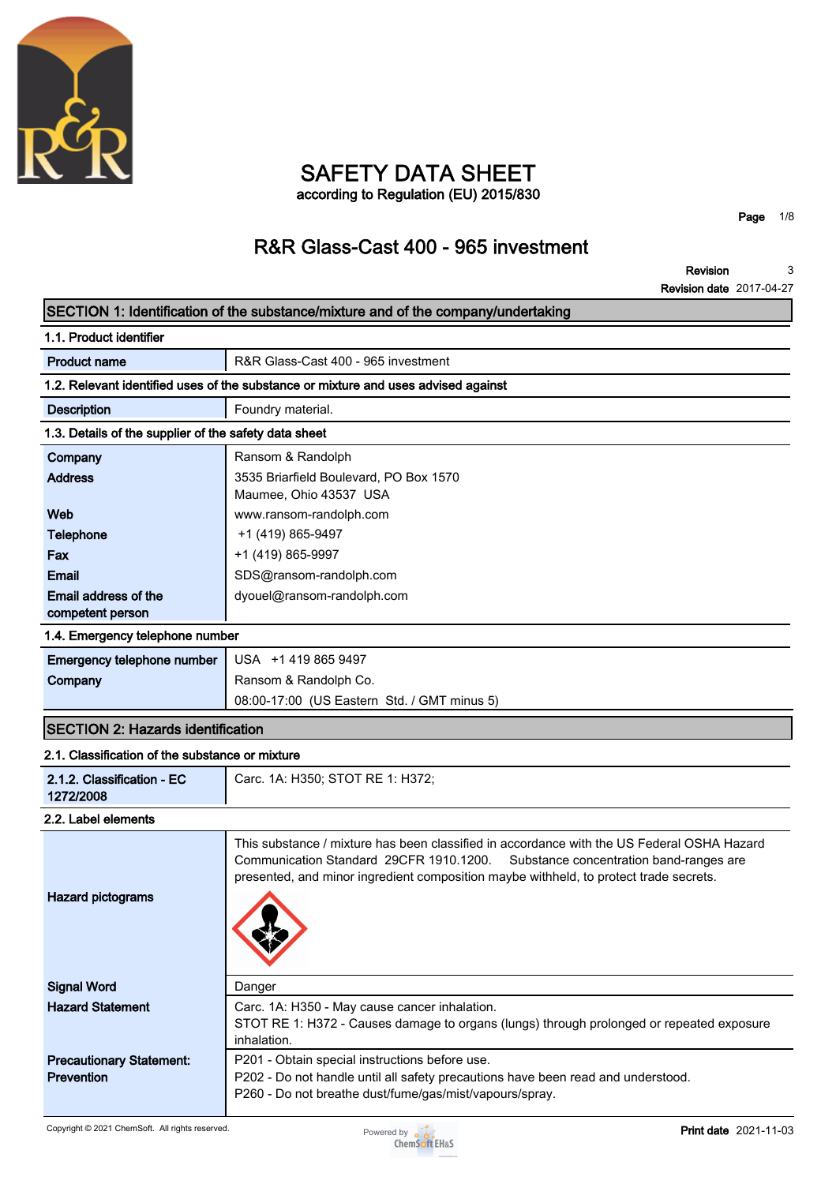

### **SAFETY DATA SHEET according to Regulation (EU) 2015/830**

**Page 1/8**

# **R&R Glass-Cast 400 - 965 investment**

**Revision** 3<br> **Solon data** 2017-04-27 **3**

|                                                       | <b>Revision date 2017-04-27</b>                                                                                                                                                                                                                                           |
|-------------------------------------------------------|---------------------------------------------------------------------------------------------------------------------------------------------------------------------------------------------------------------------------------------------------------------------------|
|                                                       | SECTION 1: Identification of the substance/mixture and of the company/undertaking                                                                                                                                                                                         |
| 1.1. Product identifier                               |                                                                                                                                                                                                                                                                           |
| <b>Product name</b>                                   | R&R Glass-Cast 400 - 965 investment                                                                                                                                                                                                                                       |
|                                                       | 1.2. Relevant identified uses of the substance or mixture and uses advised against                                                                                                                                                                                        |
| <b>Description</b>                                    | Foundry material.                                                                                                                                                                                                                                                         |
| 1.3. Details of the supplier of the safety data sheet |                                                                                                                                                                                                                                                                           |
| Company                                               | Ransom & Randolph                                                                                                                                                                                                                                                         |
| <b>Address</b>                                        | 3535 Briarfield Boulevard, PO Box 1570                                                                                                                                                                                                                                    |
|                                                       | Maumee, Ohio 43537 USA                                                                                                                                                                                                                                                    |
| Web                                                   | www.ransom-randolph.com                                                                                                                                                                                                                                                   |
| Telephone                                             | +1 (419) 865-9497                                                                                                                                                                                                                                                         |
| Fax                                                   | +1 (419) 865-9997                                                                                                                                                                                                                                                         |
| <b>Email</b>                                          | SDS@ransom-randolph.com                                                                                                                                                                                                                                                   |
| Email address of the                                  | dyouel@ransom-randolph.com                                                                                                                                                                                                                                                |
| competent person                                      |                                                                                                                                                                                                                                                                           |
| 1.4. Emergency telephone number                       |                                                                                                                                                                                                                                                                           |
| Emergency telephone number                            | USA +1 419 865 9497                                                                                                                                                                                                                                                       |
| Company                                               | Ransom & Randolph Co.                                                                                                                                                                                                                                                     |
|                                                       | 08:00-17:00 (US Eastern Std. / GMT minus 5)                                                                                                                                                                                                                               |
| <b>SECTION 2: Hazards identification</b>              |                                                                                                                                                                                                                                                                           |
| 2.1. Classification of the substance or mixture       |                                                                                                                                                                                                                                                                           |
| 2.1.2. Classification - EC<br>1272/2008               | Carc. 1A: H350; STOT RE 1: H372;                                                                                                                                                                                                                                          |
| 2.2. Label elements                                   |                                                                                                                                                                                                                                                                           |
| <b>Hazard pictograms</b>                              | This substance / mixture has been classified in accordance with the US Federal OSHA Hazard<br>Communication Standard 29CFR 1910.1200.<br>Substance concentration band-ranges are<br>presented, and minor ingredient composition maybe withheld, to protect trade secrets. |
| <b>Signal Word</b>                                    | Danger                                                                                                                                                                                                                                                                    |
| <b>Hazard Statement</b>                               | Carc. 1A: H350 - May cause cancer inhalation.<br>STOT RE 1: H372 - Causes damage to organs (lungs) through prolonged or repeated exposure<br>inhalation.                                                                                                                  |
| <b>Precautionary Statement:</b>                       | P201 - Obtain special instructions before use.                                                                                                                                                                                                                            |
| <b>Prevention</b>                                     | P202 - Do not handle until all safety precautions have been read and understood.                                                                                                                                                                                          |
|                                                       | P260 - Do not breathe dust/fume/gas/mist/vapours/spray.                                                                                                                                                                                                                   |

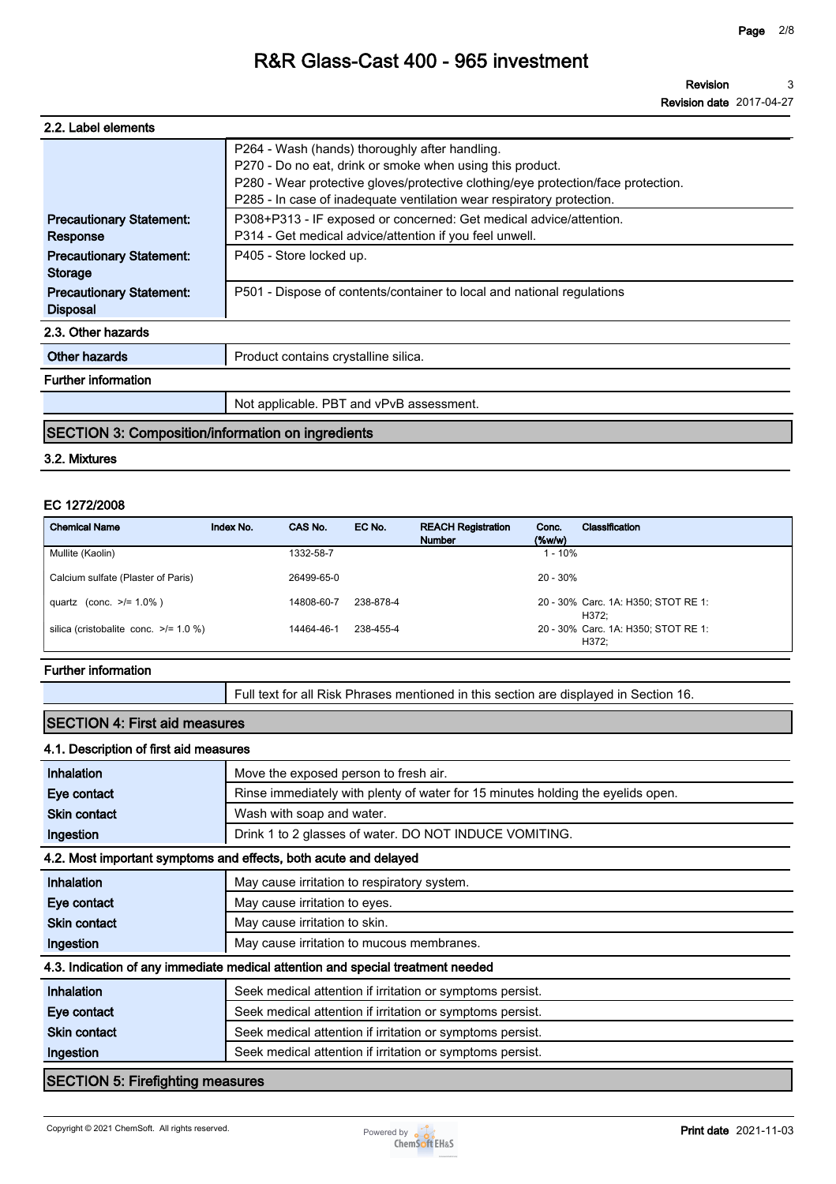**Revision Revision date 2017-04-27 3**

| 2.2. Label elements                                                                              |                                                                                                                                                                                                                                   |  |  |  |
|--------------------------------------------------------------------------------------------------|-----------------------------------------------------------------------------------------------------------------------------------------------------------------------------------------------------------------------------------|--|--|--|
|                                                                                                  | P264 - Wash (hands) thoroughly after handling.<br>P270 - Do no eat, drink or smoke when using this product.<br>P280 - Wear protective gloves/protective clothing/eye protection/face protection.                                  |  |  |  |
| <b>Precautionary Statement:</b><br>Response<br><b>Precautionary Statement:</b><br><b>Storage</b> | P285 - In case of inadequate ventilation wear respiratory protection.<br>P308+P313 - IF exposed or concerned: Get medical advice/attention.<br>P314 - Get medical advice/attention if you feel unwell.<br>P405 - Store locked up. |  |  |  |
| <b>Precautionary Statement:</b><br><b>Disposal</b>                                               | P501 - Dispose of contents/container to local and national regulations                                                                                                                                                            |  |  |  |
| 2.3. Other hazards                                                                               |                                                                                                                                                                                                                                   |  |  |  |
| Other hazards                                                                                    | Product contains crystalline silica.                                                                                                                                                                                              |  |  |  |
| <b>Further information</b>                                                                       |                                                                                                                                                                                                                                   |  |  |  |
|                                                                                                  | Not applicable. PBT and vPvB assessment.                                                                                                                                                                                          |  |  |  |

### **SECTION 3: Composition/information on ingredients**

#### **3.2. Mixtures**

#### **EC 1272/2008**

| <b>Chemical Name</b>                       | Index No. | CAS No.    | EC No.    | <b>REACH Registration</b><br><b>Number</b> | Conc.<br>$(\%w/w)$ | Classification                               |
|--------------------------------------------|-----------|------------|-----------|--------------------------------------------|--------------------|----------------------------------------------|
| Mullite (Kaolin)                           |           | 1332-58-7  |           |                                            | $1 - 10%$          |                                              |
| Calcium sulfate (Plaster of Paris)         |           | 26499-65-0 |           |                                            | $20 - 30\%$        |                                              |
| quartz (conc. $>1.0\%$ )                   |           | 14808-60-7 | 238-878-4 |                                            |                    | 20 - 30% Carc. 1A: H350; STOT RE 1:<br>H372: |
| silica (cristobalite conc. $\ge$ /= 1.0 %) |           | 14464-46-1 | 238-455-4 |                                            |                    | 20 - 30% Carc. 1A: H350; STOT RE 1:<br>H372: |

#### **Further information**

**Full text for all Risk Phrases mentioned in this section are displayed in Section 16.**

### **SECTION 4: First aid measures**

#### **4.1. Description of first aid measures**

| <b>Inhalation</b>               | Move the exposed person to fresh air.                                           |
|---------------------------------|---------------------------------------------------------------------------------|
| Eye contact                     | Rinse immediately with plenty of water for 15 minutes holding the eyelids open. |
| <b>Skin contact</b>             | Wash with soap and water.                                                       |
| Ingestion                       | Drink 1 to 2 glasses of water. DO NOT INDUCE VOMITING.                          |
|                                 | 4.2. Most important symptoms and effects, both acute and delayed                |
| Inhalation                      | May cause irritation to respiratory system.                                     |
| Eye contact                     | May cause irritation to eyes.                                                   |
| <b>Skin contact</b>             | May cause irritation to skin.                                                   |
| Ingestion                       | May cause irritation to mucous membranes.                                       |
|                                 | 4.3. Indication of any immediate medical attention and special treatment needed |
| Inhalation                      | Seek medical attention if irritation or symptoms persist.                       |
| Eye contact                     | Seek medical attention if irritation or symptoms persist.                       |
| <b>Skin contact</b>             | Seek medical attention if irritation or symptoms persist.                       |
| Ingestion                       | Seek medical attention if irritation or symptoms persist.                       |
| RECTION E: Eirofiabting moonumo |                                                                                 |

#### **SECTION 5: Firefighting measures**



a l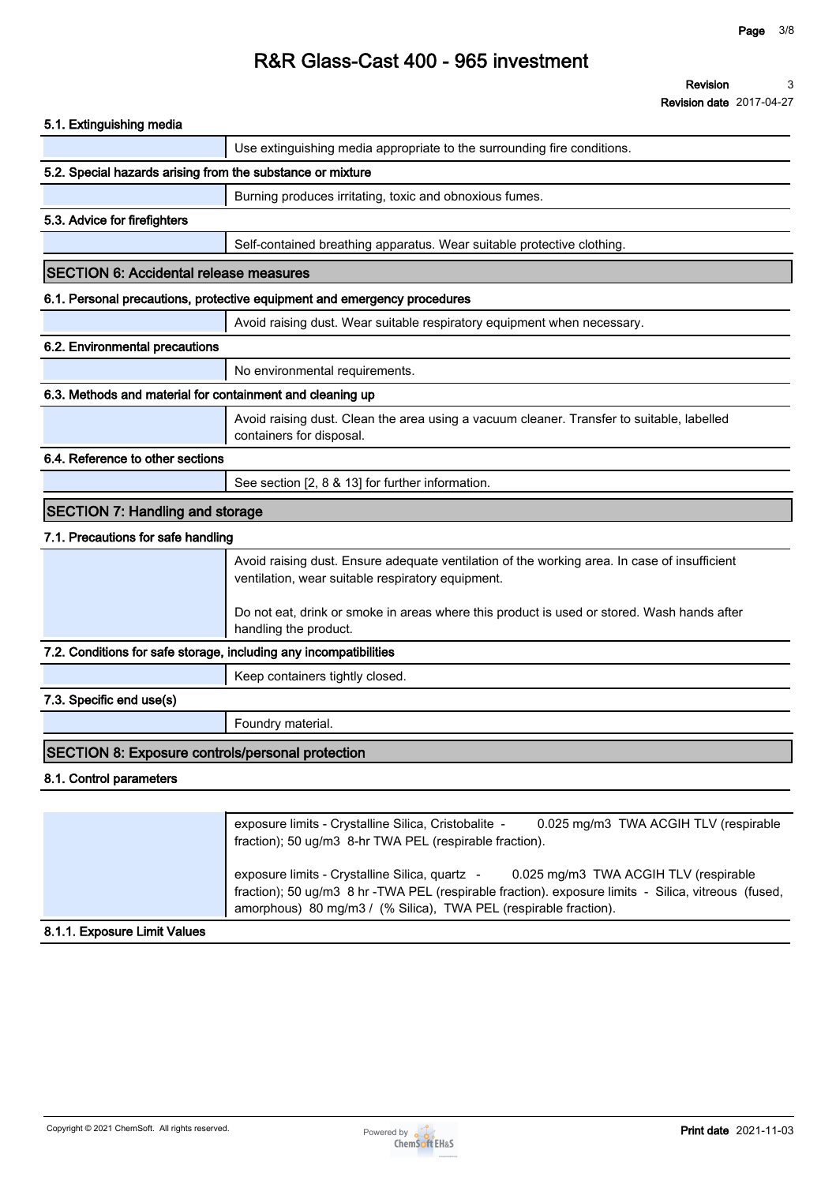**Revision Revision date 2017-04-27 3**

| <b>SECTION 6: Accidental release measures</b>                                                                                | Use extinguishing media appropriate to the surrounding fire conditions.<br>Burning produces irritating, toxic and obnoxious fumes.<br>Self-contained breathing apparatus. Wear suitable protective clothing.<br>6.1. Personal precautions, protective equipment and emergency procedures |
|------------------------------------------------------------------------------------------------------------------------------|------------------------------------------------------------------------------------------------------------------------------------------------------------------------------------------------------------------------------------------------------------------------------------------|
| 5.2. Special hazards arising from the substance or mixture<br>5.3. Advice for firefighters<br>6.2. Environmental precautions |                                                                                                                                                                                                                                                                                          |
|                                                                                                                              |                                                                                                                                                                                                                                                                                          |
|                                                                                                                              |                                                                                                                                                                                                                                                                                          |
|                                                                                                                              |                                                                                                                                                                                                                                                                                          |
|                                                                                                                              |                                                                                                                                                                                                                                                                                          |
|                                                                                                                              |                                                                                                                                                                                                                                                                                          |
|                                                                                                                              |                                                                                                                                                                                                                                                                                          |
|                                                                                                                              | Avoid raising dust. Wear suitable respiratory equipment when necessary.                                                                                                                                                                                                                  |
|                                                                                                                              |                                                                                                                                                                                                                                                                                          |
|                                                                                                                              | No environmental requirements.                                                                                                                                                                                                                                                           |
| 6.3. Methods and material for containment and cleaning up                                                                    |                                                                                                                                                                                                                                                                                          |
|                                                                                                                              | Avoid raising dust. Clean the area using a vacuum cleaner. Transfer to suitable, labelled<br>containers for disposal.                                                                                                                                                                    |
| 6.4. Reference to other sections                                                                                             |                                                                                                                                                                                                                                                                                          |
|                                                                                                                              | See section [2, 8 & 13] for further information.                                                                                                                                                                                                                                         |
| <b>SECTION 7: Handling and storage</b>                                                                                       |                                                                                                                                                                                                                                                                                          |
| 7.1. Precautions for safe handling                                                                                           |                                                                                                                                                                                                                                                                                          |
|                                                                                                                              | Avoid raising dust. Ensure adequate ventilation of the working area. In case of insufficient<br>ventilation, wear suitable respiratory equipment.                                                                                                                                        |
|                                                                                                                              | Do not eat, drink or smoke in areas where this product is used or stored. Wash hands after<br>handling the product.                                                                                                                                                                      |
| 7.2. Conditions for safe storage, including any incompatibilities                                                            |                                                                                                                                                                                                                                                                                          |
|                                                                                                                              | Keep containers tightly closed.                                                                                                                                                                                                                                                          |
| 7.3. Specific end use(s)                                                                                                     |                                                                                                                                                                                                                                                                                          |
|                                                                                                                              | Foundry material.                                                                                                                                                                                                                                                                        |
| <b>SECTION 8: Exposure controls/personal protection</b>                                                                      |                                                                                                                                                                                                                                                                                          |
| 8.1. Control parameters                                                                                                      |                                                                                                                                                                                                                                                                                          |
|                                                                                                                              |                                                                                                                                                                                                                                                                                          |
|                                                                                                                              | exposure limits - Crystalline Silica, Cristobalite -<br>0.025 mg/m3 TWA ACGIH TLV (respirable<br>fraction); 50 ug/m3 8-hr TWA PEL (respirable fraction).                                                                                                                                 |
|                                                                                                                              | exposure limits - Crystalline Silica, quartz -<br>0.025 mg/m3 TWA ACGIH TLV (respirable<br>fraction); 50 ug/m3 8 hr -TWA PEL (respirable fraction). exposure limits - Silica, vitreous (fused,<br>amorphous) 80 mg/m3 / (% Silica), TWA PEL (respirable fraction).                       |
| 8.1.1. Exposure Limit Values                                                                                                 |                                                                                                                                                                                                                                                                                          |

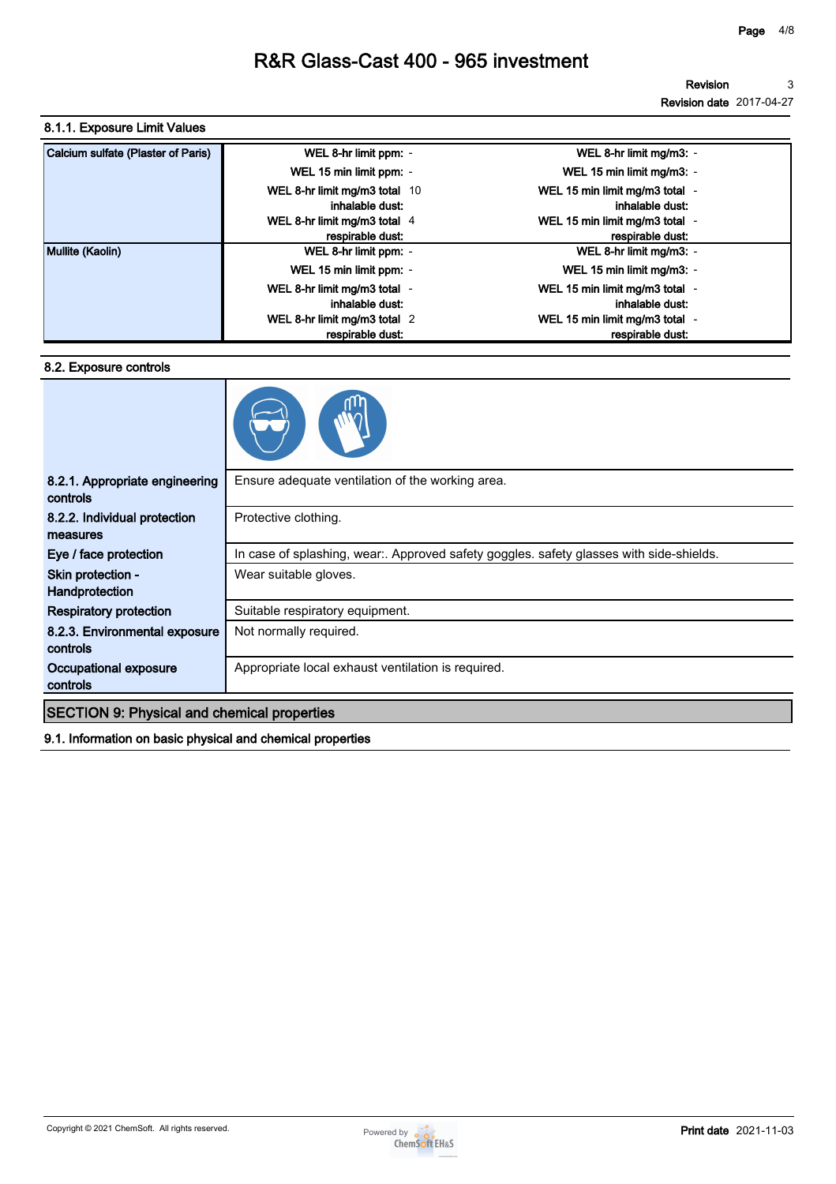### **8.1.1. Exposure Limit Values**

| Calcium sulfate (Plaster of Paris) | WEL 8-hr limit ppm: -                            | WEL 8-hr limit mg/m3: -                            |
|------------------------------------|--------------------------------------------------|----------------------------------------------------|
|                                    | WEL 15 min limit ppm: -                          | WEL 15 min limit mg/m3: -                          |
|                                    | WEL 8-hr limit mg/m3 total 10<br>inhalable dust: | WEL 15 min limit mg/m3 total -<br>inhalable dust:  |
|                                    | WEL 8-hr limit mg/m3 total 4<br>respirable dust: | WEL 15 min limit mg/m3 total -<br>respirable dust: |
| Mullite (Kaolin)                   | WEL 8-hr limit ppm: -                            | WEL 8-hr limit mg/m3: -                            |
|                                    | WEL 15 min limit ppm: -                          | WEL 15 min limit mg/m3: -                          |
|                                    | WEL 8-hr limit mg/m3 total -<br>inhalable dust:  | WEL 15 min limit mg/m3 total<br>inhalable dust:    |
|                                    | WEL 8-hr limit mg/m3 total 2<br>respirable dust: | WEL 15 min limit mg/m3 total -<br>respirable dust: |

#### **8.2. Exposure controls**



| 8.2.1. Appropriate engineering<br>controls         | Ensure adequate ventilation of the working area.                                        |  |  |
|----------------------------------------------------|-----------------------------------------------------------------------------------------|--|--|
| 8.2.2. Individual protection                       | Protective clothing.                                                                    |  |  |
| measures                                           |                                                                                         |  |  |
| Eye / face protection                              | In case of splashing, wear:. Approved safety goggles. safety glasses with side-shields. |  |  |
| Skin protection -                                  | Wear suitable gloves.                                                                   |  |  |
| Handprotection                                     |                                                                                         |  |  |
| <b>Respiratory protection</b>                      | Suitable respiratory equipment.                                                         |  |  |
| 8.2.3. Environmental exposure<br>controls          | Not normally required.                                                                  |  |  |
|                                                    |                                                                                         |  |  |
| Occupational exposure<br>controls                  | Appropriate local exhaust ventilation is required.                                      |  |  |
|                                                    |                                                                                         |  |  |
| <b>SECTION 9: Physical and chemical properties</b> |                                                                                         |  |  |
|                                                    |                                                                                         |  |  |

**9.1. Information on basic physical and chemical properties**

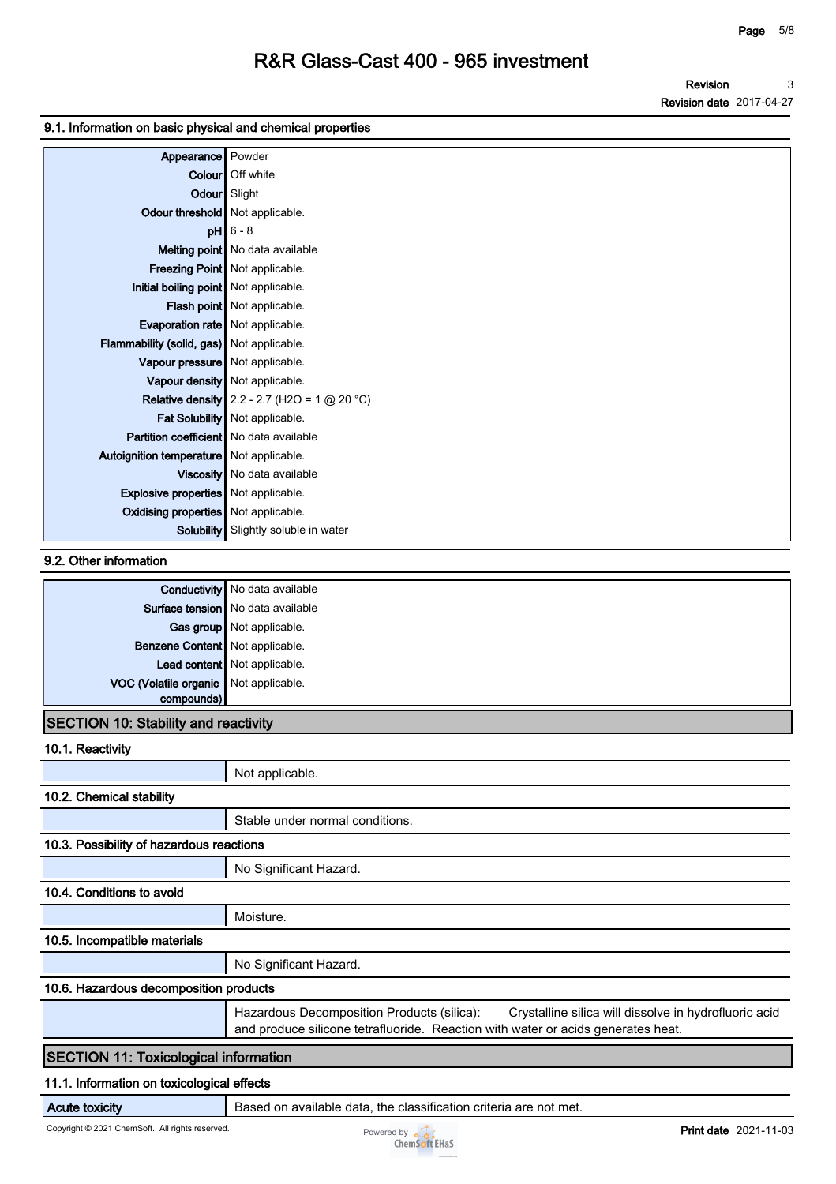**Revision Revision date 2017-04-27 3**

#### **9.1. Information on basic physical and chemical properties**

| Appearance Powder                           |                                                       |
|---------------------------------------------|-------------------------------------------------------|
|                                             | Colour   Off white                                    |
| Odour Slight                                |                                                       |
| Odour threshold   Not applicable.           |                                                       |
|                                             | $pH$ 6 - 8                                            |
|                                             | Melting point   No data available                     |
|                                             | Freezing Point   Not applicable.                      |
| Initial boiling point Not applicable.       |                                                       |
|                                             | Flash point   Not applicable.                         |
| Evaporation rate   Not applicable.          |                                                       |
| Flammability (solid, gas) Not applicable.   |                                                       |
| Vapour pressure   Not applicable.           |                                                       |
|                                             | Vapour density   Not applicable.                      |
|                                             | <b>Relative density</b> 2.2 - 2.7 (H2O = 1 $@$ 20 °C) |
|                                             | Fat Solubility   Not applicable.                      |
| Partition coefficient   No data available   |                                                       |
| Autoignition temperature   Not applicable.  |                                                       |
|                                             | Viscosity   No data available                         |
| <b>Explosive properties</b> Not applicable. |                                                       |
| Oxidising properties Not applicable.        |                                                       |
|                                             | <b>Solubility</b> Slightly soluble in water           |

#### **9.2. Other information**

|                                       | <b>Conductivity</b> No data available |
|---------------------------------------|---------------------------------------|
|                                       | Surface tension   No data available   |
|                                       | Gas group Not applicable.             |
| Benzene Content Not applicable.       |                                       |
|                                       | Lead content Not applicable.          |
| VOC (Volatile organic Not applicable. |                                       |
|                                       |                                       |
|                                       |                                       |

### **SECTION 10: Stability and reactivity**

| 10.1. Reactivity |    |
|------------------|----|
|                  | No |

|                                              | Not applicable.                                                                                                                                                                         |  |  |
|----------------------------------------------|-----------------------------------------------------------------------------------------------------------------------------------------------------------------------------------------|--|--|
| 10.2. Chemical stability                     |                                                                                                                                                                                         |  |  |
|                                              | Stable under normal conditions.                                                                                                                                                         |  |  |
| 10.3. Possibility of hazardous reactions     |                                                                                                                                                                                         |  |  |
|                                              | No Significant Hazard.                                                                                                                                                                  |  |  |
| 10.4. Conditions to avoid                    |                                                                                                                                                                                         |  |  |
|                                              | Moisture.                                                                                                                                                                               |  |  |
| 10.5. Incompatible materials                 |                                                                                                                                                                                         |  |  |
|                                              | No Significant Hazard.                                                                                                                                                                  |  |  |
| 10.6. Hazardous decomposition products       |                                                                                                                                                                                         |  |  |
|                                              | Hazardous Decomposition Products (silica):<br>Crystalline silica will dissolve in hydrofluoric acid<br>and produce silicone tetrafluoride. Reaction with water or acids generates heat. |  |  |
| <b>SECTION 11: Toxicological information</b> |                                                                                                                                                                                         |  |  |
| 11.1. Information on toxicological effects   |                                                                                                                                                                                         |  |  |

**Acute toxicity Based on available data, the classification criteria are not met.** 

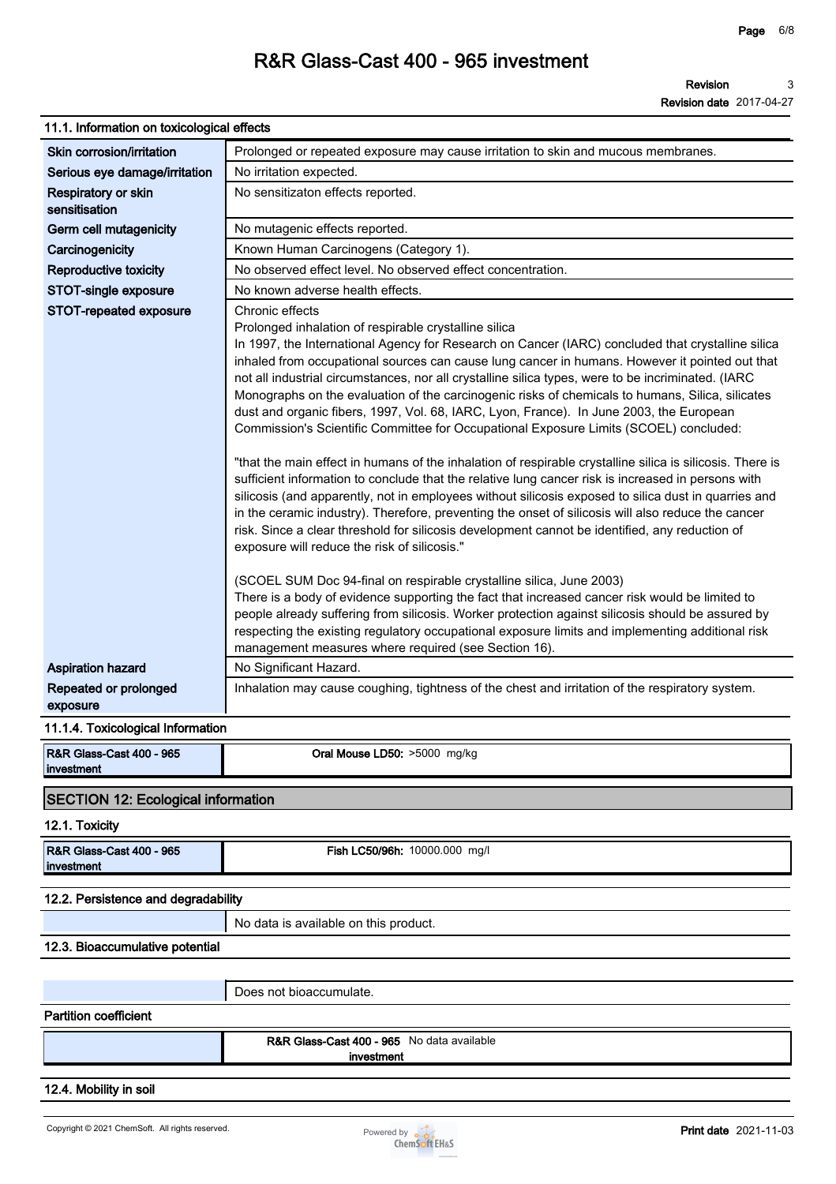| 11.1. Information on toxicological effects                    |                                                                                                                                                                                                                                                                                                                                                                                                                                                                                                                                                                                                                                                                                                                                                                                                                                                                                                                                                                                                                                                                                                                                                                                                                                                                                                                                                                                                                                                                                                                                                                                                                                                     |
|---------------------------------------------------------------|-----------------------------------------------------------------------------------------------------------------------------------------------------------------------------------------------------------------------------------------------------------------------------------------------------------------------------------------------------------------------------------------------------------------------------------------------------------------------------------------------------------------------------------------------------------------------------------------------------------------------------------------------------------------------------------------------------------------------------------------------------------------------------------------------------------------------------------------------------------------------------------------------------------------------------------------------------------------------------------------------------------------------------------------------------------------------------------------------------------------------------------------------------------------------------------------------------------------------------------------------------------------------------------------------------------------------------------------------------------------------------------------------------------------------------------------------------------------------------------------------------------------------------------------------------------------------------------------------------------------------------------------------------|
| Skin corrosion/irritation                                     | Prolonged or repeated exposure may cause irritation to skin and mucous membranes.                                                                                                                                                                                                                                                                                                                                                                                                                                                                                                                                                                                                                                                                                                                                                                                                                                                                                                                                                                                                                                                                                                                                                                                                                                                                                                                                                                                                                                                                                                                                                                   |
| Serious eye damage/irritation                                 | No irritation expected.                                                                                                                                                                                                                                                                                                                                                                                                                                                                                                                                                                                                                                                                                                                                                                                                                                                                                                                                                                                                                                                                                                                                                                                                                                                                                                                                                                                                                                                                                                                                                                                                                             |
| Respiratory or skin<br>sensitisation                          | No sensitizaton effects reported.                                                                                                                                                                                                                                                                                                                                                                                                                                                                                                                                                                                                                                                                                                                                                                                                                                                                                                                                                                                                                                                                                                                                                                                                                                                                                                                                                                                                                                                                                                                                                                                                                   |
| Germ cell mutagenicity                                        | No mutagenic effects reported.                                                                                                                                                                                                                                                                                                                                                                                                                                                                                                                                                                                                                                                                                                                                                                                                                                                                                                                                                                                                                                                                                                                                                                                                                                                                                                                                                                                                                                                                                                                                                                                                                      |
| Carcinogenicity                                               | Known Human Carcinogens (Category 1).                                                                                                                                                                                                                                                                                                                                                                                                                                                                                                                                                                                                                                                                                                                                                                                                                                                                                                                                                                                                                                                                                                                                                                                                                                                                                                                                                                                                                                                                                                                                                                                                               |
| Reproductive toxicity                                         | No observed effect level. No observed effect concentration.                                                                                                                                                                                                                                                                                                                                                                                                                                                                                                                                                                                                                                                                                                                                                                                                                                                                                                                                                                                                                                                                                                                                                                                                                                                                                                                                                                                                                                                                                                                                                                                         |
| STOT-single exposure                                          | No known adverse health effects.                                                                                                                                                                                                                                                                                                                                                                                                                                                                                                                                                                                                                                                                                                                                                                                                                                                                                                                                                                                                                                                                                                                                                                                                                                                                                                                                                                                                                                                                                                                                                                                                                    |
| STOT-repeated exposure                                        | Chronic effects<br>Prolonged inhalation of respirable crystalline silica<br>In 1997, the International Agency for Research on Cancer (IARC) concluded that crystalline silica<br>inhaled from occupational sources can cause lung cancer in humans. However it pointed out that<br>not all industrial circumstances, nor all crystalline silica types, were to be incriminated. (IARC<br>Monographs on the evaluation of the carcinogenic risks of chemicals to humans, Silica, silicates<br>dust and organic fibers, 1997, Vol. 68, IARC, Lyon, France). In June 2003, the European<br>Commission's Scientific Committee for Occupational Exposure Limits (SCOEL) concluded:<br>"that the main effect in humans of the inhalation of respirable crystalline silica is silicosis. There is<br>sufficient information to conclude that the relative lung cancer risk is increased in persons with<br>silicosis (and apparently, not in employees without silicosis exposed to silica dust in quarries and<br>in the ceramic industry). Therefore, preventing the onset of silicosis will also reduce the cancer<br>risk. Since a clear threshold for silicosis development cannot be identified, any reduction of<br>exposure will reduce the risk of silicosis."<br>(SCOEL SUM Doc 94-final on respirable crystalline silica, June 2003)<br>There is a body of evidence supporting the fact that increased cancer risk would be limited to<br>people already suffering from silicosis. Worker protection against silicosis should be assured by<br>respecting the existing regulatory occupational exposure limits and implementing additional risk |
|                                                               | management measures where required (see Section 16).                                                                                                                                                                                                                                                                                                                                                                                                                                                                                                                                                                                                                                                                                                                                                                                                                                                                                                                                                                                                                                                                                                                                                                                                                                                                                                                                                                                                                                                                                                                                                                                                |
| <b>Aspiration hazard</b><br>Repeated or prolonged<br>exposure | No Significant Hazard.<br>Inhalation may cause coughing, tightness of the chest and irritation of the respiratory system.                                                                                                                                                                                                                                                                                                                                                                                                                                                                                                                                                                                                                                                                                                                                                                                                                                                                                                                                                                                                                                                                                                                                                                                                                                                                                                                                                                                                                                                                                                                           |
| 11.1.4. Toxicological Information                             |                                                                                                                                                                                                                                                                                                                                                                                                                                                                                                                                                                                                                                                                                                                                                                                                                                                                                                                                                                                                                                                                                                                                                                                                                                                                                                                                                                                                                                                                                                                                                                                                                                                     |
| R&R Glass-Cast 400 - 965<br>investment                        | Oral Mouse LD50: >5000 mg/kg                                                                                                                                                                                                                                                                                                                                                                                                                                                                                                                                                                                                                                                                                                                                                                                                                                                                                                                                                                                                                                                                                                                                                                                                                                                                                                                                                                                                                                                                                                                                                                                                                        |
| <b>SECTION 12: Ecological information</b>                     |                                                                                                                                                                                                                                                                                                                                                                                                                                                                                                                                                                                                                                                                                                                                                                                                                                                                                                                                                                                                                                                                                                                                                                                                                                                                                                                                                                                                                                                                                                                                                                                                                                                     |
| 12.1. Toxicity                                                |                                                                                                                                                                                                                                                                                                                                                                                                                                                                                                                                                                                                                                                                                                                                                                                                                                                                                                                                                                                                                                                                                                                                                                                                                                                                                                                                                                                                                                                                                                                                                                                                                                                     |
| R&R Glass-Cast 400 - 965<br>investment                        | <b>Fish LC50/96h: 10000.000 mg/l</b>                                                                                                                                                                                                                                                                                                                                                                                                                                                                                                                                                                                                                                                                                                                                                                                                                                                                                                                                                                                                                                                                                                                                                                                                                                                                                                                                                                                                                                                                                                                                                                                                                |
| 12.2. Persistence and degradability                           |                                                                                                                                                                                                                                                                                                                                                                                                                                                                                                                                                                                                                                                                                                                                                                                                                                                                                                                                                                                                                                                                                                                                                                                                                                                                                                                                                                                                                                                                                                                                                                                                                                                     |
|                                                               | No data is available on this product.                                                                                                                                                                                                                                                                                                                                                                                                                                                                                                                                                                                                                                                                                                                                                                                                                                                                                                                                                                                                                                                                                                                                                                                                                                                                                                                                                                                                                                                                                                                                                                                                               |
| 12.3. Bioaccumulative potential                               |                                                                                                                                                                                                                                                                                                                                                                                                                                                                                                                                                                                                                                                                                                                                                                                                                                                                                                                                                                                                                                                                                                                                                                                                                                                                                                                                                                                                                                                                                                                                                                                                                                                     |
|                                                               | Does not bioaccumulate.                                                                                                                                                                                                                                                                                                                                                                                                                                                                                                                                                                                                                                                                                                                                                                                                                                                                                                                                                                                                                                                                                                                                                                                                                                                                                                                                                                                                                                                                                                                                                                                                                             |
| <b>Partition coefficient</b>                                  |                                                                                                                                                                                                                                                                                                                                                                                                                                                                                                                                                                                                                                                                                                                                                                                                                                                                                                                                                                                                                                                                                                                                                                                                                                                                                                                                                                                                                                                                                                                                                                                                                                                     |
|                                                               | <b>R&amp;R Glass-Cast 400 - 965</b> No data available<br>investment                                                                                                                                                                                                                                                                                                                                                                                                                                                                                                                                                                                                                                                                                                                                                                                                                                                                                                                                                                                                                                                                                                                                                                                                                                                                                                                                                                                                                                                                                                                                                                                 |
| 12.4. Mobility in soil                                        |                                                                                                                                                                                                                                                                                                                                                                                                                                                                                                                                                                                                                                                                                                                                                                                                                                                                                                                                                                                                                                                                                                                                                                                                                                                                                                                                                                                                                                                                                                                                                                                                                                                     |
|                                                               |                                                                                                                                                                                                                                                                                                                                                                                                                                                                                                                                                                                                                                                                                                                                                                                                                                                                                                                                                                                                                                                                                                                                                                                                                                                                                                                                                                                                                                                                                                                                                                                                                                                     |
| Copyright © 2021 ChemSoft. All rights reserved.               | <b>Print date</b> 2021-11-03<br>Powered by $\sim$                                                                                                                                                                                                                                                                                                                                                                                                                                                                                                                                                                                                                                                                                                                                                                                                                                                                                                                                                                                                                                                                                                                                                                                                                                                                                                                                                                                                                                                                                                                                                                                                   |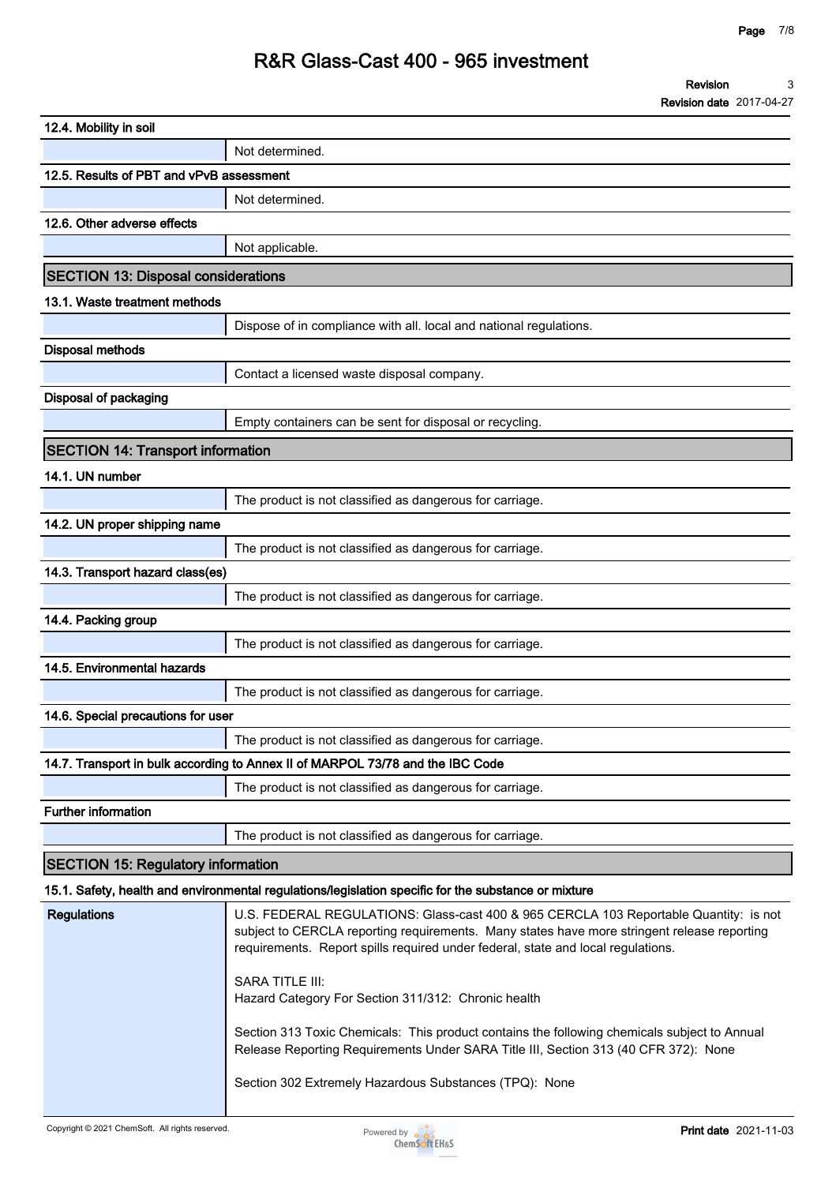**Revision Revision date 2017-04-27 3**

| 12.4. Mobility in soil                     |                                                                                                                                                                                                                                                                                                                                                                                                                                                                                                                                                                                                            |  |  |
|--------------------------------------------|------------------------------------------------------------------------------------------------------------------------------------------------------------------------------------------------------------------------------------------------------------------------------------------------------------------------------------------------------------------------------------------------------------------------------------------------------------------------------------------------------------------------------------------------------------------------------------------------------------|--|--|
|                                            | Not determined.                                                                                                                                                                                                                                                                                                                                                                                                                                                                                                                                                                                            |  |  |
| 12.5. Results of PBT and vPvB assessment   |                                                                                                                                                                                                                                                                                                                                                                                                                                                                                                                                                                                                            |  |  |
|                                            | Not determined.                                                                                                                                                                                                                                                                                                                                                                                                                                                                                                                                                                                            |  |  |
| 12.6. Other adverse effects                |                                                                                                                                                                                                                                                                                                                                                                                                                                                                                                                                                                                                            |  |  |
|                                            | Not applicable.                                                                                                                                                                                                                                                                                                                                                                                                                                                                                                                                                                                            |  |  |
| <b>SECTION 13: Disposal considerations</b> |                                                                                                                                                                                                                                                                                                                                                                                                                                                                                                                                                                                                            |  |  |
| 13.1. Waste treatment methods              |                                                                                                                                                                                                                                                                                                                                                                                                                                                                                                                                                                                                            |  |  |
|                                            | Dispose of in compliance with all. local and national regulations.                                                                                                                                                                                                                                                                                                                                                                                                                                                                                                                                         |  |  |
| <b>Disposal methods</b>                    |                                                                                                                                                                                                                                                                                                                                                                                                                                                                                                                                                                                                            |  |  |
|                                            | Contact a licensed waste disposal company.                                                                                                                                                                                                                                                                                                                                                                                                                                                                                                                                                                 |  |  |
| Disposal of packaging                      |                                                                                                                                                                                                                                                                                                                                                                                                                                                                                                                                                                                                            |  |  |
|                                            | Empty containers can be sent for disposal or recycling.                                                                                                                                                                                                                                                                                                                                                                                                                                                                                                                                                    |  |  |
| <b>SECTION 14: Transport information</b>   |                                                                                                                                                                                                                                                                                                                                                                                                                                                                                                                                                                                                            |  |  |
| 14.1. UN number                            |                                                                                                                                                                                                                                                                                                                                                                                                                                                                                                                                                                                                            |  |  |
|                                            | The product is not classified as dangerous for carriage.                                                                                                                                                                                                                                                                                                                                                                                                                                                                                                                                                   |  |  |
| 14.2. UN proper shipping name              |                                                                                                                                                                                                                                                                                                                                                                                                                                                                                                                                                                                                            |  |  |
|                                            | The product is not classified as dangerous for carriage.                                                                                                                                                                                                                                                                                                                                                                                                                                                                                                                                                   |  |  |
| 14.3. Transport hazard class(es)           |                                                                                                                                                                                                                                                                                                                                                                                                                                                                                                                                                                                                            |  |  |
|                                            | The product is not classified as dangerous for carriage.                                                                                                                                                                                                                                                                                                                                                                                                                                                                                                                                                   |  |  |
| 14.4. Packing group                        |                                                                                                                                                                                                                                                                                                                                                                                                                                                                                                                                                                                                            |  |  |
|                                            | The product is not classified as dangerous for carriage.                                                                                                                                                                                                                                                                                                                                                                                                                                                                                                                                                   |  |  |
| 14.5. Environmental hazards                |                                                                                                                                                                                                                                                                                                                                                                                                                                                                                                                                                                                                            |  |  |
|                                            | The product is not classified as dangerous for carriage.                                                                                                                                                                                                                                                                                                                                                                                                                                                                                                                                                   |  |  |
| 14.6. Special precautions for user         |                                                                                                                                                                                                                                                                                                                                                                                                                                                                                                                                                                                                            |  |  |
|                                            | The product is not classified as dangerous for carriage.                                                                                                                                                                                                                                                                                                                                                                                                                                                                                                                                                   |  |  |
|                                            | 14.7. Transport in bulk according to Annex II of MARPOL 73/78 and the IBC Code                                                                                                                                                                                                                                                                                                                                                                                                                                                                                                                             |  |  |
|                                            | The product is not classified as dangerous for carriage.                                                                                                                                                                                                                                                                                                                                                                                                                                                                                                                                                   |  |  |
| <b>Further information</b>                 |                                                                                                                                                                                                                                                                                                                                                                                                                                                                                                                                                                                                            |  |  |
|                                            | The product is not classified as dangerous for carriage.                                                                                                                                                                                                                                                                                                                                                                                                                                                                                                                                                   |  |  |
| <b>SECTION 15: Regulatory information</b>  |                                                                                                                                                                                                                                                                                                                                                                                                                                                                                                                                                                                                            |  |  |
|                                            | 15.1. Safety, health and environmental regulations/legislation specific for the substance or mixture                                                                                                                                                                                                                                                                                                                                                                                                                                                                                                       |  |  |
| <b>Regulations</b>                         | U.S. FEDERAL REGULATIONS: Glass-cast 400 & 965 CERCLA 103 Reportable Quantity: is not<br>subject to CERCLA reporting requirements. Many states have more stringent release reporting<br>requirements. Report spills required under federal, state and local regulations.<br><b>SARA TITLE III:</b><br>Hazard Category For Section 311/312: Chronic health<br>Section 313 Toxic Chemicals: This product contains the following chemicals subject to Annual<br>Release Reporting Requirements Under SARA Title III, Section 313 (40 CFR 372): None<br>Section 302 Extremely Hazardous Substances (TPQ): None |  |  |
|                                            |                                                                                                                                                                                                                                                                                                                                                                                                                                                                                                                                                                                                            |  |  |